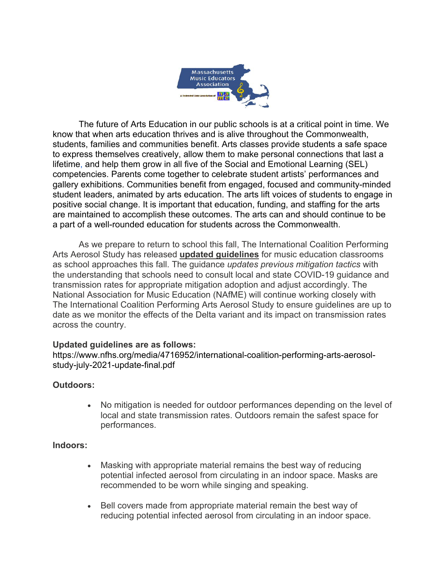

The future of Arts Education in our public schools is at a critical point in time. We know that when arts education thrives and is alive throughout the Commonwealth, students, families and communities benefit. Arts classes provide students a safe space to express themselves creatively, allow them to make personal connections that last a lifetime, and help them grow in all five of the Social and Emotional Learning (SEL) competencies. Parents come together to celebrate student artists' performances and gallery exhibitions. Communities benefit from engaged, focused and community-minded student leaders, animated by arts education. The arts lift voices of students to engage in positive social change. It is important that education, funding, and staffing for the arts are maintained to accomplish these outcomes. The arts can and should continue to be a part of a well-rounded education for students across the Commonwealth.

As we prepare to return to school this fall, The International Coalition Performing Arts Aerosol Study has released **updated guidelines** for music education classrooms as school approaches this fall. The guidance *updates previous mitigation tactics* with the understanding that schools need to consult local and state COVID-19 guidance and transmission rates for appropriate mitigation adoption and adjust accordingly. The National Association for Music Education (NAfME) will continue working closely with The International Coalition Performing Arts Aerosol Study to ensure guidelines are up to date as we monitor the effects of the Delta variant and its impact on transmission rates across the country.

## **Updated guidelines are as follows:**

https://www.nfhs.org/media/4716952/international-coalition-performing-arts-aerosolstudy-july-2021-update-final.pdf

## **Outdoors:**

• No mitigation is needed for outdoor performances depending on the level of local and state transmission rates. Outdoors remain the safest space for performances.

## **Indoors:**

- Masking with appropriate material remains the best way of reducing potential infected aerosol from circulating in an indoor space. Masks are recommended to be worn while singing and speaking.
- Bell covers made from appropriate material remain the best way of reducing potential infected aerosol from circulating in an indoor space.